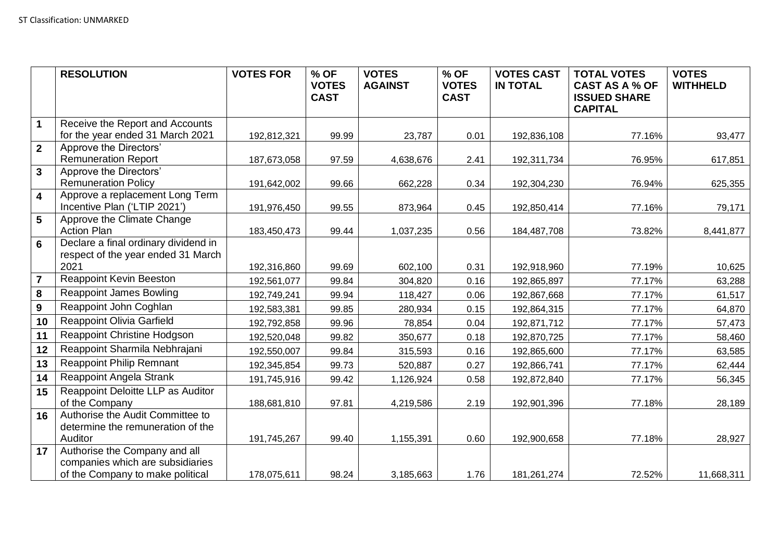|                         | <b>RESOLUTION</b>                                                 | <b>VOTES FOR</b> | % OF<br><b>VOTES</b> | <b>VOTES</b><br><b>AGAINST</b> | % OF<br><b>VOTES</b> | <b>VOTES CAST</b><br><b>IN TOTAL</b> | <b>TOTAL VOTES</b><br><b>CAST AS A % OF</b> | <b>VOTES</b><br><b>WITHHELD</b> |
|-------------------------|-------------------------------------------------------------------|------------------|----------------------|--------------------------------|----------------------|--------------------------------------|---------------------------------------------|---------------------------------|
|                         |                                                                   |                  | <b>CAST</b>          |                                | <b>CAST</b>          |                                      | <b>ISSUED SHARE</b>                         |                                 |
|                         |                                                                   |                  |                      |                                |                      |                                      | <b>CAPITAL</b>                              |                                 |
| $\mathbf 1$             | Receive the Report and Accounts                                   |                  |                      |                                |                      |                                      |                                             |                                 |
|                         | for the year ended 31 March 2021                                  | 192,812,321      | 99.99                | 23,787                         | 0.01                 | 192,836,108                          | 77.16%                                      | 93,477                          |
| $\overline{2}$          | Approve the Directors'                                            |                  |                      |                                |                      |                                      |                                             |                                 |
|                         | <b>Remuneration Report</b>                                        | 187,673,058      | 97.59                | 4,638,676                      | 2.41                 | 192,311,734                          | 76.95%                                      | 617,851                         |
| $\overline{3}$          | Approve the Directors'                                            |                  |                      |                                |                      |                                      |                                             |                                 |
| $\overline{\mathbf{4}}$ | <b>Remuneration Policy</b><br>Approve a replacement Long Term     | 191,642,002      | 99.66                | 662,228                        | 0.34                 | 192,304,230                          | 76.94%                                      | 625,355                         |
|                         | Incentive Plan ('LTIP 2021')                                      | 191,976,450      | 99.55                | 873,964                        | 0.45                 | 192,850,414                          | 77.16%                                      | 79,171                          |
| 5                       | Approve the Climate Change                                        |                  |                      |                                |                      |                                      |                                             |                                 |
|                         | <b>Action Plan</b>                                                | 183,450,473      | 99.44                | 1,037,235                      | 0.56                 | 184,487,708                          | 73.82%                                      | 8,441,877                       |
| $6\phantom{1}$          | Declare a final ordinary dividend in                              |                  |                      |                                |                      |                                      |                                             |                                 |
|                         | respect of the year ended 31 March                                |                  |                      |                                |                      |                                      |                                             |                                 |
|                         | 2021                                                              | 192,316,860      | 99.69                | 602,100                        | 0.31                 | 192,918,960                          | 77.19%                                      | 10,625                          |
| $\overline{7}$          | Reappoint Kevin Beeston                                           | 192,561,077      | 99.84                | 304,820                        | 0.16                 | 192,865,897                          | 77.17%                                      | 63,288                          |
| 8                       | <b>Reappoint James Bowling</b>                                    | 192,749,241      | 99.94                | 118,427                        | 0.06                 | 192,867,668                          | 77.17%                                      | 61,517                          |
| 9                       | Reappoint John Coghlan                                            | 192,583,381      | 99.85                | 280,934                        | 0.15                 | 192,864,315                          | 77.17%                                      | 64,870                          |
| 10                      | <b>Reappoint Olivia Garfield</b>                                  | 192,792,858      | 99.96                | 78,854                         | 0.04                 | 192,871,712                          | 77.17%                                      | 57,473                          |
| 11                      | Reappoint Christine Hodgson                                       | 192,520,048      | 99.82                | 350,677                        | 0.18                 | 192,870,725                          | 77.17%                                      | 58,460                          |
| 12                      | Reappoint Sharmila Nebhrajani                                     | 192,550,007      | 99.84                | 315,593                        | 0.16                 | 192,865,600                          | 77.17%                                      | 63,585                          |
| 13                      | <b>Reappoint Philip Remnant</b>                                   | 192,345,854      | 99.73                | 520,887                        | 0.27                 | 192,866,741                          | 77.17%                                      | 62,444                          |
| 14                      | Reappoint Angela Strank                                           | 191,745,916      | 99.42                | 1,126,924                      | 0.58                 | 192,872,840                          | 77.17%                                      | 56,345                          |
| 15                      | Reappoint Deloitte LLP as Auditor                                 |                  |                      |                                |                      |                                      |                                             |                                 |
|                         | of the Company                                                    | 188,681,810      | 97.81                | 4,219,586                      | 2.19                 | 192,901,396                          | 77.18%                                      | 28,189                          |
| 16                      | Authorise the Audit Committee to                                  |                  |                      |                                |                      |                                      |                                             |                                 |
|                         | determine the remuneration of the                                 |                  |                      |                                |                      |                                      |                                             |                                 |
|                         | Auditor                                                           | 191,745,267      | 99.40                | 1,155,391                      | 0.60                 | 192,900,658                          | 77.18%                                      | 28,927                          |
| 17                      | Authorise the Company and all<br>companies which are subsidiaries |                  |                      |                                |                      |                                      |                                             |                                 |
|                         | of the Company to make political                                  | 178,075,611      | 98.24                | 3,185,663                      | 1.76                 | 181,261,274                          | 72.52%                                      | 11,668,311                      |
|                         |                                                                   |                  |                      |                                |                      |                                      |                                             |                                 |